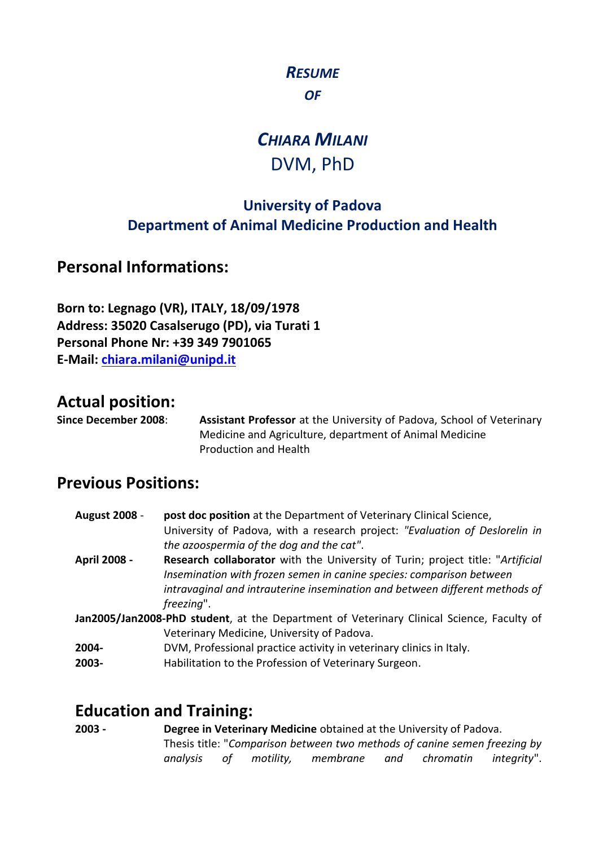### *RESUME OF*

# *CHIARA MILANI*  DVM, PhD

### **University of Padova Department of Animal Medicine Production and Health**

**Personal Informations:**

**Born to: Legnago (VR), ITALY, 18/09/1978 Address: 35020 Casalserugo (PD), via Turati 1 Personal Phone Nr: +39 349 7901065 E-Mail: [chiara.milani@unipd.it](mailto:chiara.milani@unipd.it)**  $10^{100}$   $(1070)$ 

## **Actual position:**

**Since December 2008**: **Assistant Professor** at the University of Padova, School of Veterinary Medicine and Agriculture, department of Animal Medicine Production and Health

### **Previous Positions:**

- **August 2008 post doc position** at the Department of Veterinary Clinical Science, University of Padova, with a research project: *"Evaluation of Deslorelin in the azoospermia of the dog and the cat"*. **April 2008 - Research collaborator** with the University of Turin; project title: "*Artificial*
- *Insemination with frozen semen in canine species: comparison between intravaginal and intrauterine insemination and between different methods of freezing*".
- **Jan2005/Jan2008-PhD student**, at the Department of Veterinary Clinical Science, Faculty of Veterinary Medicine, University of Padova.
- **2004-** DVM, Professional practice activity in veterinary clinics in Italy.
- **2003-** Habilitation to the Profession of Veterinary Surgeon.

# **Education and Training:**

**2003 - Degree in Veterinary Medicine** obtained at the University of Padova. Thesis title: "*Comparison between two methods of canine semen freezing by analysis of motility, membrane and chromatin integrity*".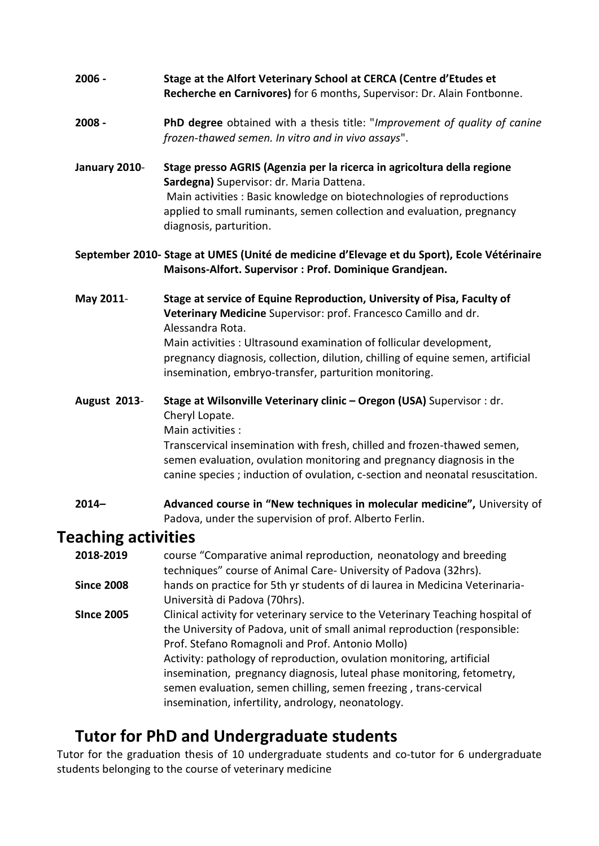#### **2006 - Stage at the Alfort Veterinary School at CERCA (Centre d'Etudes et Recherche en Carnivores)** for 6 months, Supervisor: Dr. Alain Fontbonne.

#### **2008 - PhD degree** obtained with a thesis title: "*Improvement of quality of canine frozen-thawed semen. In vitro and in vivo assays*".

**January 2010**- **Stage presso AGRIS (Agenzia per la ricerca in agricoltura della regione Sardegna)** Supervisor: dr. Maria Dattena. Main activities : Basic knowledge on biotechnologies of reproductions applied to small ruminants, semen collection and evaluation, pregnancy diagnosis, parturition.

#### **September 2010- Stage at UMES (Unité de medicine d'Elevage et du Sport), Ecole Vétérinaire Maisons-Alfort. Supervisor : Prof. Dominique Grandjean.**

#### **May 2011**- **Stage at service of Equine Reproduction, University of Pisa, Faculty of Veterinary Medicine** Supervisor: prof. Francesco Camillo and dr. Alessandra Rota. Main activities : Ultrasound examination of follicular development, pregnancy diagnosis, collection, dilution, chilling of equine semen, artificial insemination, embryo-transfer, parturition monitoring.

#### **August 2013**- **Stage at Wilsonville Veterinary clinic – Oregon (USA)** Supervisor : dr. Cheryl Lopate. Main activities :

Transcervical insemination with fresh, chilled and frozen-thawed semen, semen evaluation, ovulation monitoring and pregnancy diagnosis in the canine species ; induction of ovulation, c-section and neonatal resuscitation.

#### **2014– Advanced course in "New techniques in molecular medicine",** University of Padova, under the supervision of prof. Alberto Ferlin.

### **Teaching activities**

| 2018-2019         | course "Comparative animal reproduction, neonatology and breeding               |
|-------------------|---------------------------------------------------------------------------------|
|                   | techniques" course of Animal Care- University of Padova (32hrs).                |
| <b>Since 2008</b> | hands on practice for 5th yr students of di laurea in Medicina Veterinaria-     |
|                   | Università di Padova (70hrs).                                                   |
| <b>SInce 2005</b> | Clinical activity for veterinary service to the Veterinary Teaching hospital of |
|                   | the University of Padova, unit of small animal reproduction (responsible:       |
|                   | Prof. Stefano Romagnoli and Prof. Antonio Mollo)                                |
|                   | Activity: pathology of reproduction, ovulation monitoring, artificial           |
|                   | insemination, pregnancy diagnosis, luteal phase monitoring, fetometry,          |
|                   | semen evaluation, semen chilling, semen freezing, trans-cervical                |
|                   | insemination, infertility, andrology, neonatology.                              |

# **Tutor for PhD and Undergraduate students**

Tutor for the graduation thesis of 10 undergraduate students and co-tutor for 6 undergraduate students belonging to the course of veterinary medicine